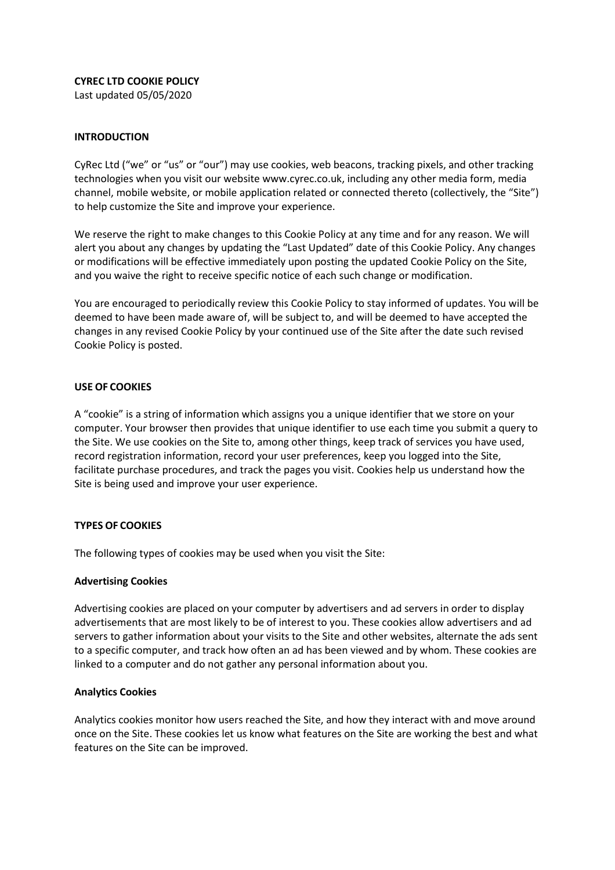**CYREC LTD COOKIE POLICY**

Last updated 05/05/2020

# **INTRODUCTION**

CyRec Ltd ("we" or "us" or "our") may use cookies, web beacons, tracking pixels, and other tracking technologies when you visit our website www.cyrec.co.uk, including any other media form, media channel, mobile website, or mobile application related or connected thereto (collectively, the "Site") to help customize the Site and improve your experience.

We reserve the right to make changes to this Cookie Policy at any time and for any reason. We will alert you about any changes by updating the "Last Updated" date of this Cookie Policy. Any changes or modifications will be effective immediately upon posting the updated Cookie Policy on the Site, and you waive the right to receive specific notice of each such change or modification.

You are encouraged to periodically review this Cookie Policy to stay informed of updates. You will be deemed to have been made aware of, will be subject to, and will be deemed to have accepted the changes in any revised Cookie Policy by your continued use of the Site after the date such revised Cookie Policy is posted.

# **USE OF COOKIES**

A "cookie" is a string of information which assigns you a unique identifier that we store on your computer. Your browser then provides that unique identifier to use each time you submit a query to the Site. We use cookies on the Site to, among other things, keep track of services you have used, record registration information, record your user preferences, keep you logged into the Site, facilitate purchase procedures, and track the pages you visit. Cookies help us understand how the Site is being used and improve your user experience.

## **TYPES OF COOKIES**

The following types of cookies may be used when you visit the Site:

## **Advertising Cookies**

Advertising cookies are placed on your computer by advertisers and ad servers in order to display advertisements that are most likely to be of interest to you. These cookies allow advertisers and ad servers to gather information about your visits to the Site and other websites, alternate the ads sent to a specific computer, and track how often an ad has been viewed and by whom. These cookies are linked to a computer and do not gather any personal information about you.

## **Analytics Cookies**

Analytics cookies monitor how users reached the Site, and how they interact with and move around once on the Site. These cookies let us know what features on the Site are working the best and what features on the Site can be improved.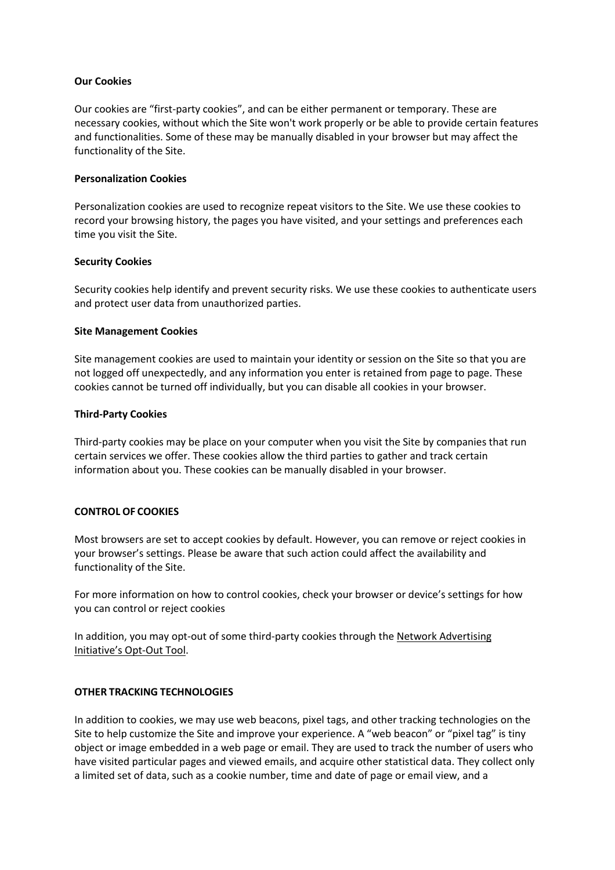## **Our Cookies**

Our cookies are "first-party cookies", and can be either permanent or temporary. These are necessary cookies, without which the Site won't work properly or be able to provide certain features and functionalities. Some of these may be manually disabled in your browser but may affect the functionality of the Site.

#### **Personalization Cookies**

Personalization cookies are used to recognize repeat visitors to the Site. We use these cookies to record your browsing history, the pages you have visited, and your settings and preferences each time you visit the Site.

#### **Security Cookies**

Security cookies help identify and prevent security risks. We use these cookies to authenticate users and protect user data from unauthorized parties.

#### **Site Management Cookies**

Site management cookies are used to maintain your identity or session on the Site so that you are not logged off unexpectedly, and any information you enter is retained from page to page. These cookies cannot be turned off individually, but you can disable all cookies in your browser.

#### **Third-Party Cookies**

Third-party cookies may be place on your computer when you visit the Site by companies that run certain services we offer. These cookies allow the third parties to gather and track certain information about you. These cookies can be manually disabled in your browser.

#### **CONTROL OF COOKIES**

Most browsers are set to accept cookies by default. However, you can remove or reject cookies in your browser's settings. Please be aware that such action could affect the availability and functionality of the Site.

For more information on how to control cookies, check your browser or device's settings for how you can control or reject cookies

In addition, you may opt-out of some third-party cookies through the Network Advertising [Initiative's Opt](http://optout.networkadvertising.org/#!/)-Out Tool.

# **OTHER TRACKING TECHNOLOGIES**

In addition to cookies, we may use web beacons, pixel tags, and other tracking technologies on the Site to help customize the Site and improve your experience. A "web beacon" or "pixel tag" is tiny object or image embedded in a web page or email. They are used to track the number of users who have visited particular pages and viewed emails, and acquire other statistical data. They collect only a limited set of data, such as a cookie number, time and date of page or email view, and a